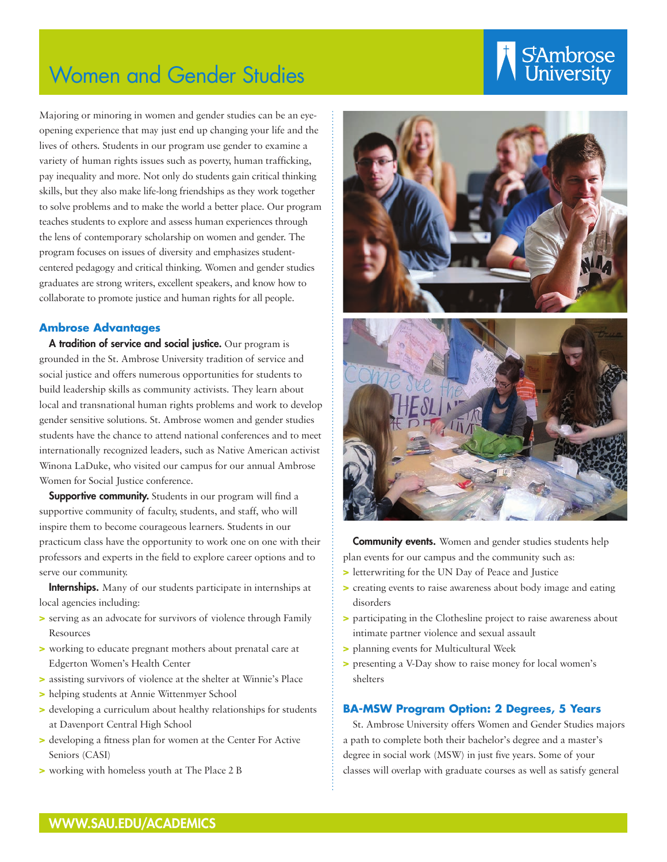# Women and Gender Studies

# Stambrose

Majoring or minoring in women and gender studies can be an eyeopening experience that may just end up changing your life and the lives of others. Students in our program use gender to examine a variety of human rights issues such as poverty, human trafficking, pay inequality and more. Not only do students gain critical thinking skills, but they also make life-long friendships as they work together to solve problems and to make the world a better place. Our program teaches students to explore and assess human experiences through the lens of contemporary scholarship on women and gender. The program focuses on issues of diversity and emphasizes studentcentered pedagogy and critical thinking. Women and gender studies graduates are strong writers, excellent speakers, and know how to collaborate to promote justice and human rights for all people.

#### **Ambrose Advantages**

A tradition of service and social justice. Our program is grounded in the St. Ambrose University tradition of service and social justice and offers numerous opportunities for students to build leadership skills as community activists. They learn about local and transnational human rights problems and work to develop gender sensitive solutions. St. Ambrose women and gender studies students have the chance to attend national conferences and to meet internationally recognized leaders, such as Native American activist Winona LaDuke, who visited our campus for our annual Ambrose Women for Social Justice conference.

Supportive community. Students in our program will find a supportive community of faculty, students, and staff, who will inspire them to become courageous learners. Students in our practicum class have the opportunity to work one on one with their professors and experts in the field to explore career options and to serve our community.

**Internships.** Many of our students participate in internships at local agencies including:

- > serving as an advocate for survivors of violence through Family **Resources**
- > working to educate pregnant mothers about prenatal care at Edgerton Women's Health Center
- > assisting survivors of violence at the shelter at Winnie's Place
- > helping students at Annie Wittenmyer School
- > developing a curriculum about healthy relationships for students at Davenport Central High School
- > developing a fitness plan for women at the Center For Active Seniors (CASI)
- > working with homeless youth at The Place 2 B





**Community events.** Women and gender studies students help plan events for our campus and the community such as:

- > letterwriting for the UN Day of Peace and Justice
- > creating events to raise awareness about body image and eating disorders
- > participating in the Clothesline project to raise awareness about intimate partner violence and sexual assault
- > planning events for Multicultural Week
- > presenting a V-Day show to raise money for local women's shelters

### **BA-MSW Program Option: 2 Degrees, 5 Years**

St. Ambrose University offers Women and Gender Studies majors a path to complete both their bachelor's degree and a master's degree in social work (MSW) in just five years. Some of your classes will overlap with graduate courses as well as satisfy general